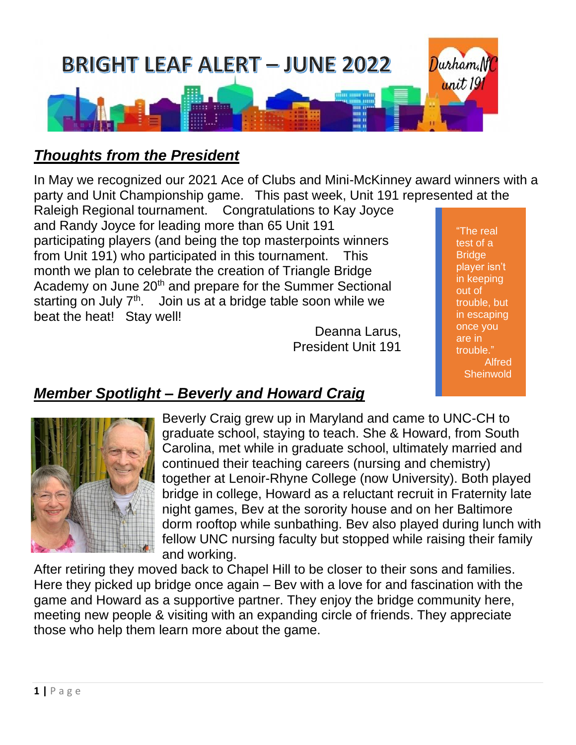

# *Thoughts from the President*

In May we recognized our 2021 Ace of Clubs and Mini-McKinney award winners with a party and Unit Championship game. This past week, Unit 191 represented at the

Raleigh Regional tournament. Congratulations to Kay Joyce and Randy Joyce for leading more than 65 Unit 191 participating players (and being the top masterpoints winners from Unit 191) who participated in this tournament. This month we plan to celebrate the creation of Triangle Bridge Academy on June 20<sup>th</sup> and prepare for the Summer Sectional starting on July  $7<sup>th</sup>$ . Join us at a bridge table soon while we beat the heat! Stay well!

Deanna Larus, President Unit 191

"The real test of a **Bridge** player isn't in keeping out of trouble, but in escaping once you are in trouble." Alfred **Sheinwold** 

# *Member Spotlight – Beverly and Howard Craig*



Beverly Craig grew up in Maryland and came to UNC-CH to graduate school, staying to teach. She & Howard, from South Carolina, met while in graduate school, ultimately married and continued their teaching careers (nursing and chemistry) together at Lenoir-Rhyne College (now University). Both played bridge in college, Howard as a reluctant recruit in Fraternity late night games, Bev at the sorority house and on her Baltimore dorm rooftop while sunbathing. Bev also played during lunch with fellow UNC nursing faculty but stopped while raising their family and working.

After retiring they moved back to Chapel Hill to be closer to their sons and families. Here they picked up bridge once again – Bev with a love for and fascination with the game and Howard as a supportive partner. They enjoy the bridge community here, meeting new people & visiting with an expanding circle of friends. They appreciate those who help them learn more about the game.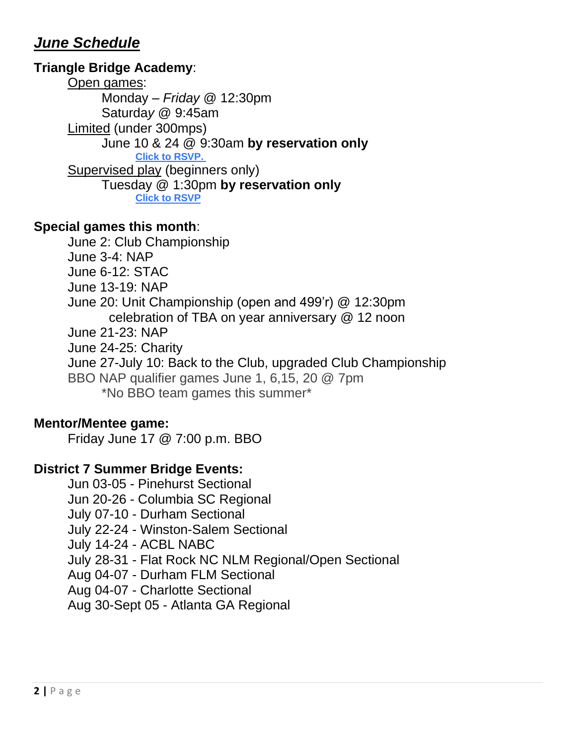## *June Schedule*

### **Triangle Bridge Academy**:

Open games: Monday *– Friday* @ 12:30pm Saturda*y* @ 9:45am Limited (under 300mps) June 10 & 24 @ 9:30am **by reservation only [Click to RSVP.](https://r20.rs6.net/tn.jsp?f=001jQLGmrf-bzeoGcldOSVPU8BCFhtjB9GXwlsNBK8jqpNf0iIhdMYu79dgzBjZMRUzo_gpHo-oymrqmMXp1ymt4_fEpUqXvvKWRfQbNgrz76ihpDTq94-KejdfShx_j-79bZJvSDRkia-DZGDeMIygaaqKkW8Bokv5&c=E5AwYTEZ-W0mPnMASnjmmZm4buKRBUDzVvsqN4Mbm_oJAS14H7BqdQ==&ch=BBi2Nz0-3g01dt1PLxbjiuVnTg1OfCMVoAw5I9QBzzQ0XoN9QkuuQQ==)** Supervised play (beginners only) Tuesday @ 1:30pm **by reservation only [Click to RSVP](https://r20.rs6.net/tn.jsp?f=001jQLGmrf-bzeoGcldOSVPU8BCFhtjB9GXwlsNBK8jqpNf0iIhdMYu79dgzBjZMRUzk6QxhvaQiQxL57scvLXivjCEPxx3VzZaKGs7PVkwQykKRuaTJXxutAH9UGoGbsGmKxAy2Io_qeD5v4kJEZov3P53KgGRwAwd&c=E5AwYTEZ-W0mPnMASnjmmZm4buKRBUDzVvsqN4Mbm_oJAS14H7BqdQ==&ch=BBi2Nz0-3g01dt1PLxbjiuVnTg1OfCMVoAw5I9QBzzQ0XoN9QkuuQQ==)**

#### **Special games this month**:

June 2: Club Championship

- June 3-4: NAP
- June 6-12: STAC
- June 13-19: NAP

June 20: Unit Championship (open and 499'r) @ 12:30pm celebration of TBA on year anniversary @ 12 noon

- June 21-23: NAP
- June 24-25: Charity
- June 27-July 10: Back to the Club, upgraded Club Championship
- BBO NAP qualifier games June 1, 6,15, 20 @ 7pm

\*No BBO team games this summer\*

#### **Mentor/Mentee game:**

Friday June 17 @ 7:00 p.m. BBO

## **District 7 Summer Bridge Events:**

- Jun 03-05 Pinehurst Sectional
- Jun 20-26 Columbia SC Regional
- July 07-10 Durham Sectional
- July 22-24 Winston-Salem Sectional
- July 14-24 ACBL NABC
- July 28-31 Flat Rock NC NLM Regional/Open Sectional
- Aug 04-07 Durham FLM Sectional
- Aug 04-07 Charlotte Sectional

Aug 30-Sept 05 - Atlanta GA Regional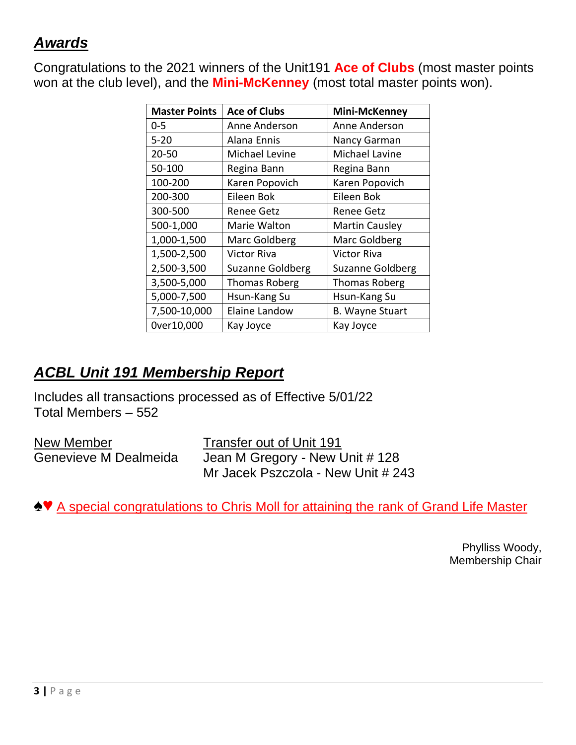# *Awards*

Congratulations to the 2021 winners of the Unit191 **Ace of Clubs** (most master points won at the club level), and the **Mini-McKenney** (most total master points won).

| <b>Master Points</b> | <b>Ace of Clubs</b>     | <b>Mini-McKenney</b>    |
|----------------------|-------------------------|-------------------------|
| $0 - 5$              | Anne Anderson           | Anne Anderson           |
| $5 - 20$             | Alana Ennis             | Nancy Garman            |
| 20-50                | Michael Levine          | Michael Lavine          |
| 50-100               | Regina Bann             | Regina Bann             |
| 100-200              | Karen Popovich          | Karen Popovich          |
| 200-300              | Eileen Bok              | Eileen Bok              |
| 300-500              | <b>Renee Getz</b>       | <b>Renee Getz</b>       |
| 500-1,000            | Marie Walton            | <b>Martin Causley</b>   |
| 1,000-1,500          | Marc Goldberg           | Marc Goldberg           |
| 1,500-2,500          | Victor Riva             | Victor Riva             |
| 2,500-3,500          | <b>Suzanne Goldberg</b> | <b>Suzanne Goldberg</b> |
| 3,500-5,000          | <b>Thomas Roberg</b>    | <b>Thomas Roberg</b>    |
| 5,000-7,500          | Hsun-Kang Su            | Hsun-Kang Su            |
| 7,500-10,000         | Elaine Landow           | <b>B. Wayne Stuart</b>  |
| 0ver10,000           | Kay Joyce               | Kay Joyce               |

# *ACBL Unit 191 Membership Report*

Includes all transactions processed as of Effective 5/01/22 Total Members – 552

New Member Transfer out of Unit 191

Genevieve M Dealmeida Jean M Gregory - New Unit # 128 Mr Jacek Pszczola - New Unit # 243

**♠♥** A special congratulations to Chris Moll for attaining the rank of Grand Life Master

Phylliss Woody, Membership Chair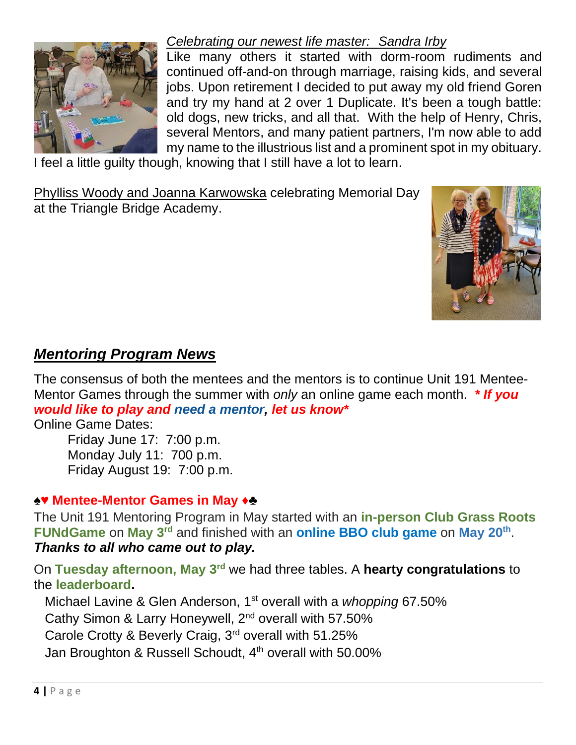

## *Celebrating our newest life master: Sandra Irby*

Like many others it started with dorm-room rudiments and continued off-and-on through marriage, raising kids, and several jobs. Upon retirement I decided to put away my old friend Goren and try my hand at 2 over 1 Duplicate. It's been a tough battle: old dogs, new tricks, and all that. With the help of Henry, Chris, several Mentors, and many patient partners, I'm now able to add my name to the illustrious list and a prominent spot in my obituary.

I feel a little guilty though, knowing that I still have a lot to learn.

Phylliss Woody and Joanna Karwowska celebrating Memorial Day at the Triangle Bridge Academy.



## *Mentoring Program News*

The consensus of both the mentees and the mentors is to continue Unit 191 Mentee-Mentor Games through the summer with *only* an online game each month. *\* If you would like to play and need a mentor, let us know\**

Online Game Dates:

Friday June 17: 7:00 p.m. Monday July 11: 700 p.m. Friday August 19: 7:00 p.m.

#### **♠♥ Mentee-Mentor Games in May ♦♣**

The Unit 191 Mentoring Program in May started with an **in-person Club Grass Roots FUNdGame** on **May 3rd** and finished with an **online BBO club game** on **May 20th** . *Thanks to all who came out to play.*

On **Tuesday afternoon, May 3rd** we had three tables. A **hearty congratulations** to the **leaderboard.**

 Michael Lavine & Glen Anderson, 1st overall with a *whopping* 67.50% Cathy Simon & Larry Honeywell, 2<sup>nd</sup> overall with 57.50% Carole Crotty & Beverly Craig, 3rd overall with 51.25% Jan Broughton & Russell Schoudt, 4<sup>th</sup> overall with 50.00%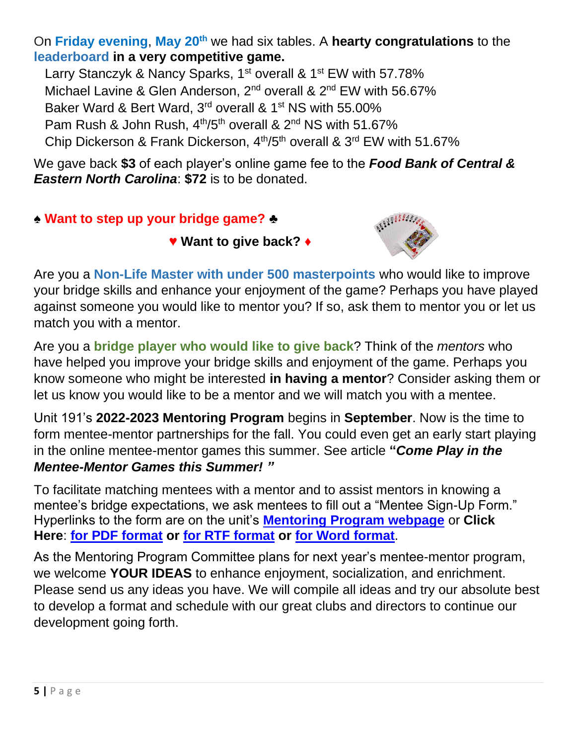On **Friday evening**, **May 20th** we had six tables. A **hearty congratulations** to the **leaderboard in a very competitive game.** 

Larry Stanczyk & Nancy Sparks, 1<sup>st</sup> overall & 1<sup>st</sup> EW with 57.78%

Michael Lavine & Glen Anderson, 2<sup>nd</sup> overall & 2<sup>nd</sup> EW with 56.67%

Baker Ward & Bert Ward, 3<sup>rd</sup> overall & 1<sup>st</sup> NS with 55.00%

Pam Rush & John Rush,  $4<sup>th</sup>/5<sup>th</sup>$  overall &  $2<sup>nd</sup>$  NS with 51.67%

Chip Dickerson & Frank Dickerson, 4<sup>th</sup>/5<sup>th</sup> overall & 3<sup>rd</sup> EW with 51.67%

We gave back **\$3** of each player's online game fee to the *Food Bank of Central & Eastern North Carolina*: **\$72** is to be donated.

**♠ Want to step up your bridge game? ♣**

**♥ Want to give back? ♦**



Are you a **Non-Life Master with under 500 masterpoints** who would like to improve your bridge skills and enhance your enjoyment of the game? Perhaps you have played against someone you would like to mentor you? If so, ask them to mentor you or let us match you with a mentor.

Are you a **bridge player who would like to give back**? Think of the *mentors* who have helped you improve your bridge skills and enjoyment of the game. Perhaps you know someone who might be interested **in having a mentor**? Consider asking them or let us know you would like to be a mentor and we will match you with a mentee.

Unit 191's **2022-2023 Mentoring Program** begins in **September**. Now is the time to form mentee-mentor partnerships for the fall. You could even get an early start playing in the online mentee-mentor games this summer. See article **"***Come Play in the Mentee-Mentor Games this Summer! "*

To facilitate matching mentees with a mentor and to assist mentors in knowing a mentee's bridge expectations, we ask mentees to fill out a "Mentee Sign-Up Form." Hyperlinks to the form are on the unit's **[Mentoring Program webpage](https://www.bridgewebs.com/cgi-bin/bwop/bw.cgi?club=unit191brightleaf&pid=display_page11)** or **Click Here**: **[for PDF format](https://www.bridgewebs.com/unit191brightleaf/Mentee_Sign-Up_Form_2022-2023.pdf) or [for RTF format](https://www.bridgewebs.com/unit191brightleaf/Mentee_Sign-Up_Form_2022-2023.rtf) or [for Word format](https://www.bridgewebs.com/unit191brightleaf/Mentee_Sign-Up_Form_2022-2023.docx)**.

As the Mentoring Program Committee plans for next year's mentee-mentor program, we welcome **YOUR IDEAS** to enhance enjoyment, socialization, and enrichment. Please send us any ideas you have. We will compile all ideas and try our absolute best to develop a format and schedule with our great clubs and directors to continue our development going forth.